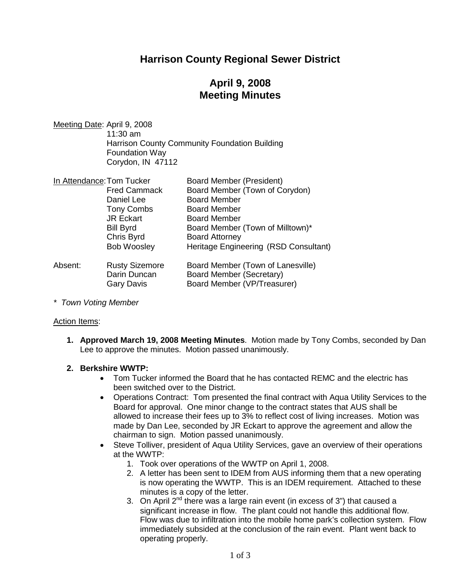## **Harrison County Regional Sewer District**

# **April 9, 2008 Meeting Minutes**

Meeting Date: April 9, 2008 11:30 am Harrison County Community Foundation Building Foundation Way Corydon, IN 47112

| In Attendance: Tom Tucker |                       | <b>Board Member (President)</b>       |
|---------------------------|-----------------------|---------------------------------------|
|                           | <b>Fred Cammack</b>   | Board Member (Town of Corydon)        |
|                           | Daniel Lee            | <b>Board Member</b>                   |
|                           | <b>Tony Combs</b>     | <b>Board Member</b>                   |
|                           | <b>JR Eckart</b>      | <b>Board Member</b>                   |
|                           | <b>Bill Byrd</b>      | Board Member (Town of Milltown)*      |
|                           | Chris Byrd            | <b>Board Attorney</b>                 |
|                           | <b>Bob Woosley</b>    | Heritage Engineering (RSD Consultant) |
| Absent:                   | <b>Rusty Sizemore</b> | Board Member (Town of Lanesville)     |
|                           | Darin Duncan          | Board Member (Secretary)              |
|                           | Gary Davis            | Board Member (VP/Treasurer)           |

*\* Town Voting Member*

### Action Items:

**1. Approved March 19, 2008 Meeting Minutes**. Motion made by Tony Combs, seconded by Dan Lee to approve the minutes. Motion passed unanimously.

### **2. Berkshire WWTP:**

- Tom Tucker informed the Board that he has contacted REMC and the electric has been switched over to the District.
- Operations Contract: Tom presented the final contract with Aqua Utility Services to the Board for approval. One minor change to the contract states that AUS shall be allowed to increase their fees up to 3% to reflect cost of living increases. Motion was made by Dan Lee, seconded by JR Eckart to approve the agreement and allow the chairman to sign. Motion passed unanimously.
- Steve Tolliver, president of Aqua Utility Services, gave an overview of their operations at the WWTP:
	- 1. Took over operations of the WWTP on April 1, 2008.
	- 2. A letter has been sent to IDEM from AUS informing them that a new operating is now operating the WWTP. This is an IDEM requirement. Attached to these minutes is a copy of the letter.
	- 3. On April  $2^{nd}$  there was a large rain event (in excess of 3") that caused a significant increase in flow. The plant could not handle this additional flow. Flow was due to infiltration into the mobile home park's collection system. Flow immediately subsided at the conclusion of the rain event. Plant went back to operating properly.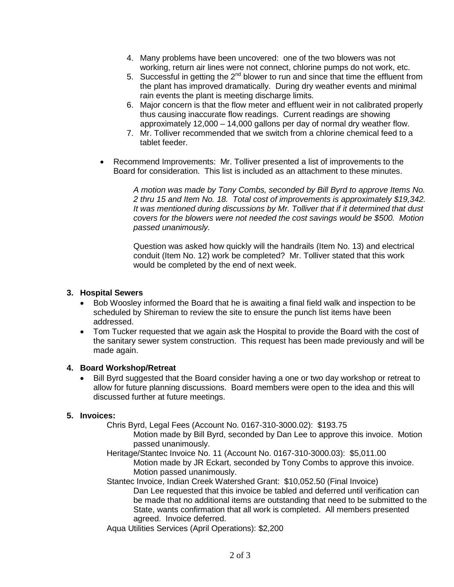- 4. Many problems have been uncovered: one of the two blowers was not working, return air lines were not connect, chlorine pumps do not work, etc.
- 5. Successful in getting the  $2^{nd}$  blower to run and since that time the effluent from the plant has improved dramatically. During dry weather events and minimal rain events the plant is meeting discharge limits.
- 6. Major concern is that the flow meter and effluent weir in not calibrated properly thus causing inaccurate flow readings. Current readings are showing approximately 12,000 – 14,000 gallons per day of normal dry weather flow.
- 7. Mr. Tolliver recommended that we switch from a chlorine chemical feed to a tablet feeder.
- Recommend Improvements: Mr. Tolliver presented a list of improvements to the Board for consideration. This list is included as an attachment to these minutes.

*A motion was made by Tony Combs, seconded by Bill Byrd to approve Items No. 2 thru 15 and Item No. 18. Total cost of improvements is approximately \$19,342. It was mentioned during discussions by Mr. Tolliver that if it determined that dust covers for the blowers were not needed the cost savings would be \$500. Motion passed unanimously.*

Question was asked how quickly will the handrails (Item No. 13) and electrical conduit (Item No. 12) work be completed? Mr. Tolliver stated that this work would be completed by the end of next week.

#### **3. Hospital Sewers**

- Bob Woosley informed the Board that he is awaiting a final field walk and inspection to be scheduled by Shireman to review the site to ensure the punch list items have been addressed.
- Tom Tucker requested that we again ask the Hospital to provide the Board with the cost of the sanitary sewer system construction. This request has been made previously and will be made again.

#### **4. Board Workshop/Retreat**

 Bill Byrd suggested that the Board consider having a one or two day workshop or retreat to allow for future planning discussions. Board members were open to the idea and this will discussed further at future meetings.

### **5. Invoices:**

Chris Byrd, Legal Fees (Account No. 0167-310-3000.02): \$193.75

Motion made by Bill Byrd, seconded by Dan Lee to approve this invoice. Motion passed unanimously.

- Heritage/Stantec Invoice No. 11 (Account No. 0167-310-3000.03): \$5,011.00 Motion made by JR Eckart, seconded by Tony Combs to approve this invoice. Motion passed unanimously.
- Stantec Invoice, Indian Creek Watershed Grant: \$10,052.50 (Final Invoice) Dan Lee requested that this invoice be tabled and deferred until verification can be made that no additional items are outstanding that need to be submitted to the State, wants confirmation that all work is completed. All members presented agreed. Invoice deferred.

Aqua Utilities Services (April Operations): \$2,200